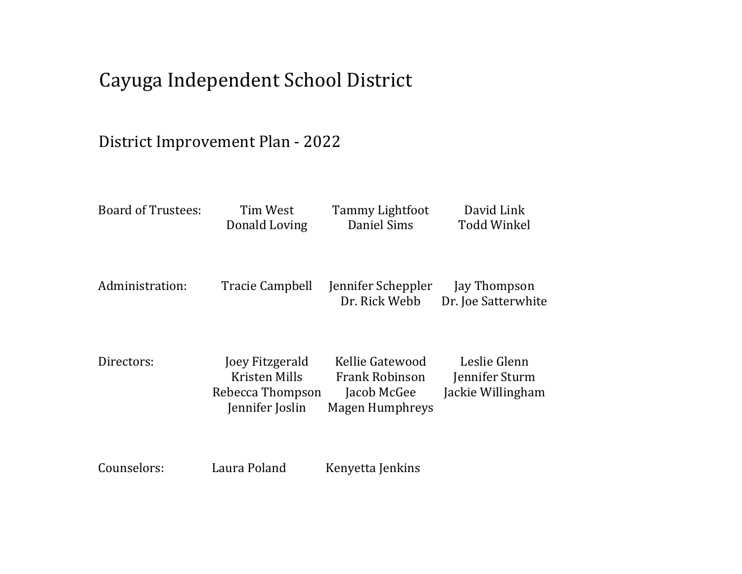# Cayuga Independent School District

# District Improvement Plan - 2022

| <b>Board of Trustees:</b> | Tim West<br>Donald Loving                                               | Tammy Lightfoot<br>Daniel Sims                                             | David Link<br><b>Todd Winkel</b>                    |
|---------------------------|-------------------------------------------------------------------------|----------------------------------------------------------------------------|-----------------------------------------------------|
| Administration:           | Tracie Campbell                                                         | Jennifer Scheppler<br>Dr. Rick Webb                                        | Jay Thompson<br>Dr. Joe Satterwhite                 |
| Directors:                | Joey Fitzgerald<br>Kristen Mills<br>Rebecca Thompson<br>Jennifer Joslin | Kellie Gatewood<br><b>Frank Robinson</b><br>Jacob McGee<br>Magen Humphreys | Leslie Glenn<br>Jennifer Sturm<br>Jackie Willingham |
| Counselors:               | Laura Poland                                                            | Kenyetta Jenkins                                                           |                                                     |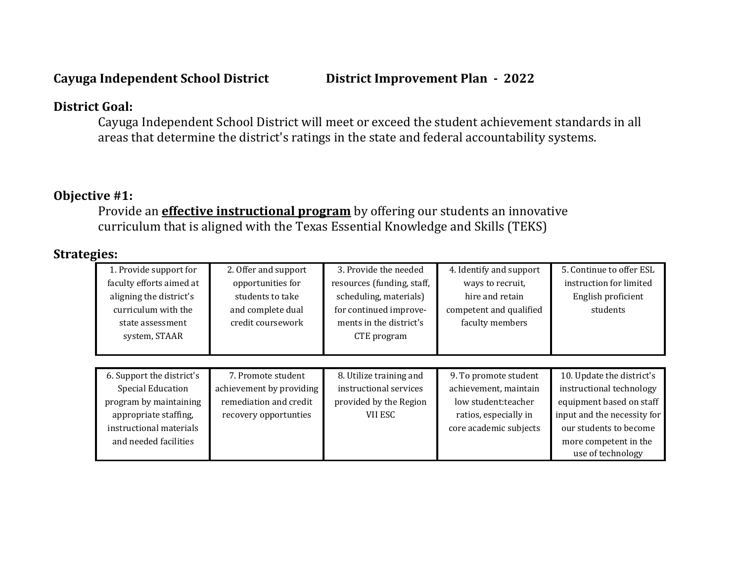# **District Goal:**

Cayuga Independent School District will meet or exceed the student achievement standards in all areas that determine the district's ratings in the state and federal accountability systems.

# **Objective #1:**

Provide an **effective instructional program** by offering our students an innovative curriculum that is aligned with the Texas Essential Knowledge and Skills (TEKS)

| 1. Provide support for    | 2. Offer and support     | 3. Provide the needed      | 4. Identify and support | 5. Continue to offer ESL    |
|---------------------------|--------------------------|----------------------------|-------------------------|-----------------------------|
| faculty efforts aimed at  | opportunities for        | resources (funding, staff, | ways to recruit,        | instruction for limited     |
| aligning the district's   | students to take         | scheduling, materials)     | hire and retain         | English proficient          |
| curriculum with the       | and complete dual        | for continued improve-     | competent and qualified | students                    |
| state assessment          | credit coursework        | ments in the district's    | faculty members         |                             |
| system, STAAR             |                          | CTE program                |                         |                             |
|                           |                          |                            |                         |                             |
|                           |                          |                            |                         |                             |
| 6. Support the district's | 7. Promote student       | 8. Utilize training and    | 9. To promote student   | 10. Update the district's   |
| <b>Special Education</b>  | achievement by providing | instructional services     | achievement, maintain   | instructional technology    |
| program by maintaining    | remediation and credit   | provided by the Region     | low student: teacher    | equipment based on staff    |
| appropriate staffing,     | recovery opportunties    | VII ESC                    | ratios, especially in   | input and the necessity for |
| instructional materials   |                          |                            | core academic subjects  | our students to become      |
| and needed facilities     |                          |                            |                         | more competent in the       |
|                           |                          |                            |                         | use of technology           |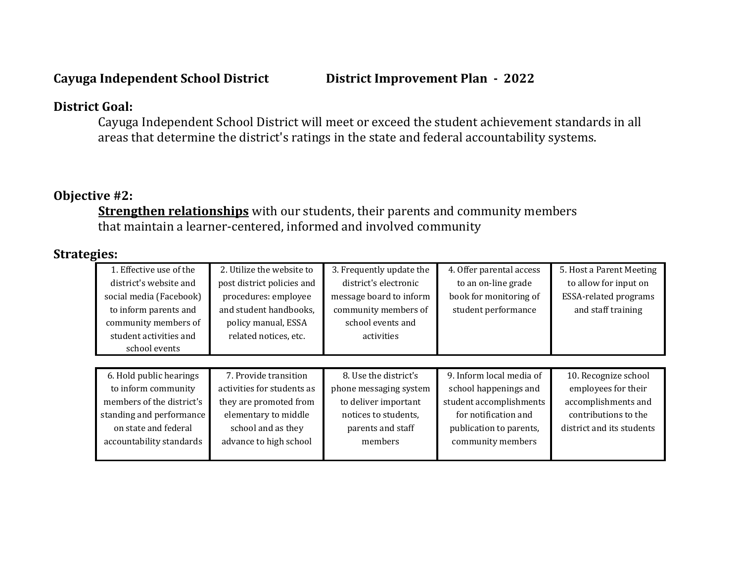# **District Goal:**

Cayuga Independent School District will meet or exceed the student achievement standards in all areas that determine the district's ratings in the state and federal accountability systems.

# **Objective #2:**

**Strengthen relationships** with our students, their parents and community members that maintain a learner-centered, informed and involved community

| 1. Effective use of the   | 2. Utilize the website to  | 3. Frequently update the | 4. Offer parental access | 5. Host a Parent Meeting     |
|---------------------------|----------------------------|--------------------------|--------------------------|------------------------------|
| district's website and    | post district policies and | district's electronic    | to an on-line grade      | to allow for input on        |
| social media (Facebook)   | procedures: employee       | message board to inform  | book for monitoring of   | <b>ESSA-related programs</b> |
| to inform parents and     | and student handbooks,     | community members of     | student performance      | and staff training           |
| community members of      | policy manual, ESSA        | school events and        |                          |                              |
| student activities and    | related notices, etc.      | activities               |                          |                              |
| school events             |                            |                          |                          |                              |
|                           |                            |                          |                          |                              |
| 6. Hold public hearings   | 7. Provide transition      | 8. Use the district's    | 9. Inform local media of | 10. Recognize school         |
| to inform community       | activities for students as | phone messaging system   | school happenings and    | employees for their          |
| members of the district's | they are promoted from     | to deliver important     | student accomplishments  | accomplishments and          |
| standing and performance  | elementary to middle       | notices to students,     | for notification and     | contributions to the         |
| on state and federal      | school and as they         | parents and staff        | publication to parents,  | district and its students    |
| accountability standards  | advance to high school     | members                  | community members        |                              |
|                           |                            |                          |                          |                              |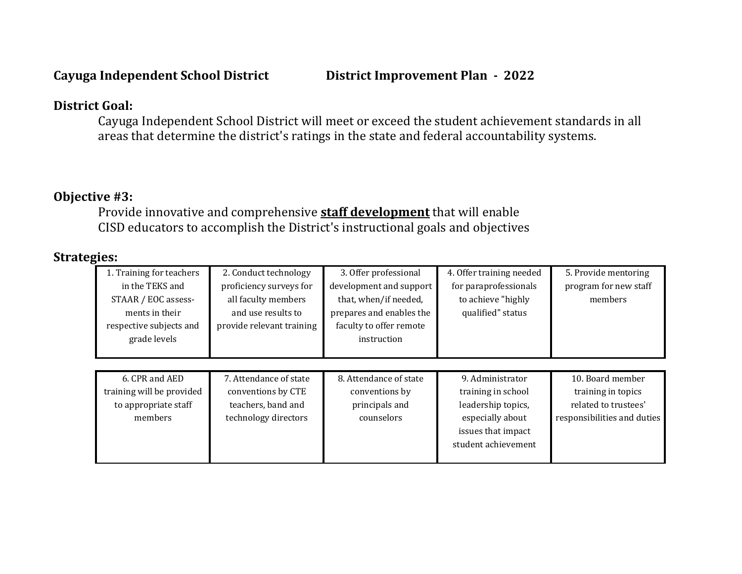### **District Goal:**

Cayuga Independent School District will meet or exceed the student achievement standards in all areas that determine the district's ratings in the state and federal accountability systems.

### **Objective #3:**

Provide innovative and comprehensive **staff development** that will enable CISD educators to accomplish the District's instructional goals and objectives

| 1. Training for teachers  | 2. Conduct technology     | 3. Offer professional    | 4. Offer training needed | 5. Provide mentoring        |
|---------------------------|---------------------------|--------------------------|--------------------------|-----------------------------|
| in the TEKS and           | proficiency surveys for   | development and support  | for paraprofessionals    | program for new staff       |
| STAAR / EOC assess-       | all faculty members       | that, when/if needed,    | to achieve "highly       | members                     |
| ments in their            | and use results to        | prepares and enables the | qualified" status        |                             |
| respective subjects and   | provide relevant training | faculty to offer remote  |                          |                             |
| grade levels              |                           | instruction              |                          |                             |
|                           |                           |                          |                          |                             |
|                           |                           |                          |                          |                             |
| 6. CPR and AED            | 7. Attendance of state    | 8. Attendance of state   | 9. Administrator         | 10. Board member            |
| training will be provided | conventions by CTE        | conventions by           | training in school       | training in topics          |
| to appropriate staff      | teachers, band and        | principals and           | leadership topics,       | related to trustees'        |
| members                   | technology directors      | counselors               | especially about         | responsibilities and duties |
|                           |                           |                          | issues that impact       |                             |
|                           |                           |                          | student achievement      |                             |
|                           |                           |                          |                          |                             |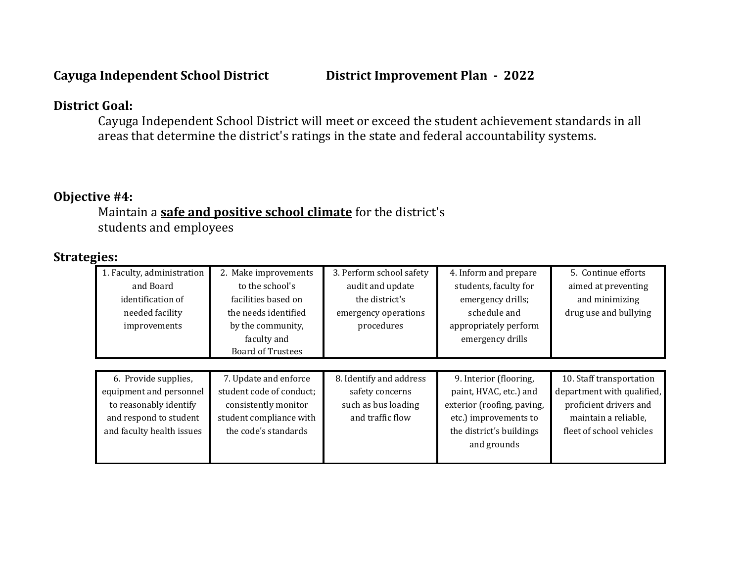### **District Goal:**

Cayuga Independent School District will meet or exceed the student achievement standards in all areas that determine the district's ratings in the state and federal accountability systems.

# **Objective #4:**

Maintain a **safe and positive school climate** for the district's students and employees

| 1. Faculty, administration | 2. Make improvements     | 3. Perform school safety | 4. Inform and prepare      | 5. Continue efforts        |
|----------------------------|--------------------------|--------------------------|----------------------------|----------------------------|
| and Board                  | to the school's          | audit and update         | students, faculty for      | aimed at preventing        |
| identification of          | facilities based on      | the district's           | emergency drills;          | and minimizing             |
| needed facility            | the needs identified     | emergency operations     | schedule and               | drug use and bullying      |
| improvements               | by the community,        | procedures               | appropriately perform      |                            |
|                            | faculty and              |                          | emergency drills           |                            |
|                            | <b>Board of Trustees</b> |                          |                            |                            |
|                            |                          |                          |                            |                            |
| 6. Provide supplies,       | 7. Update and enforce    | 8. Identify and address  | 9. Interior (flooring,     | 10. Staff transportation   |
| equipment and personnel    | student code of conduct; | safety concerns          | paint, HVAC, etc.) and     | department with qualified, |
| to reasonably identify     | consistently monitor     | such as bus loading      | exterior (roofing, paving, | proficient drivers and     |
| and respond to student     | student compliance with  | and traffic flow         | etc.) improvements to      | maintain a reliable,       |
| and faculty health issues  | the code's standards     |                          | the district's buildings   | fleet of school vehicles   |
|                            |                          |                          | and grounds                |                            |
|                            |                          |                          |                            |                            |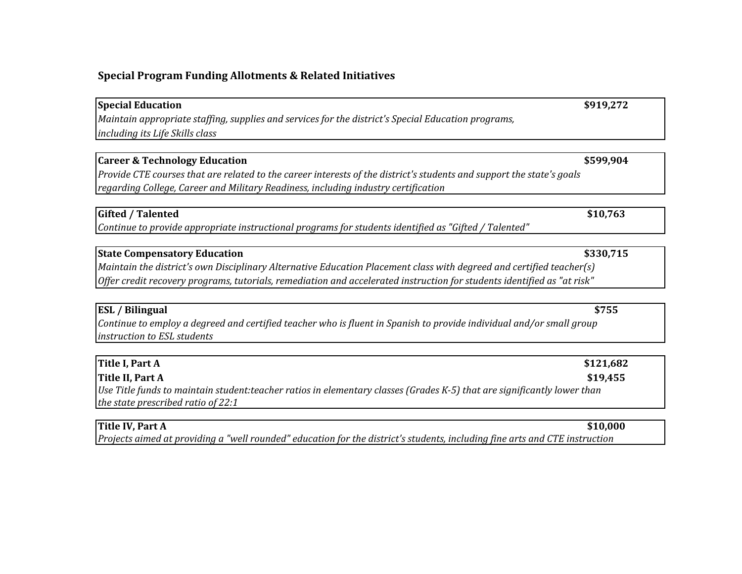#### **Special Program Funding Allotments & Related Initiatives**

**Special Education** \$919,272 *Maintain appropriate staffing, supplies and services for the district's Special Education programs, including its Life Skills class*

#### **Career & Technology Education \$599,904**

*Provide CTE courses that are related to the career interests of the district's students and support the state's goals regarding College, Career and Military Readiness, including industry certification*

#### **Gifted / Talented \$10,763**

*Continue to provide appropriate instructional programs for students identified as "Gifted / Talented"*

#### **State Compensatory Education \$330,715**

*Maintain the district's own Disciplinary Alternative Education Placement class with degreed and certified teacher(s) Offer credit recovery programs, tutorials, remediation and accelerated instruction for students identified as "at risk"*

#### **ESL / Bilingual \$755**

*Continue to employ a degreed and certified teacher who is fluent in Spanish to provide individual and/or small group instruction to ESL students*

| Title I, Part A                                                                                                         | \$121,682 |
|-------------------------------------------------------------------------------------------------------------------------|-----------|
| Title II, Part A                                                                                                        | \$19,455  |
| Use Title funds to maintain student:teacher ratios in elementary classes (Grades K-5) that are significantly lower than |           |
| the state prescribed ratio of 22:1                                                                                      |           |

#### **Title IV, Part A \$10,000**

*Projects aimed at providing a "well rounded" education for the district's students, including fine arts and CTE instruction*